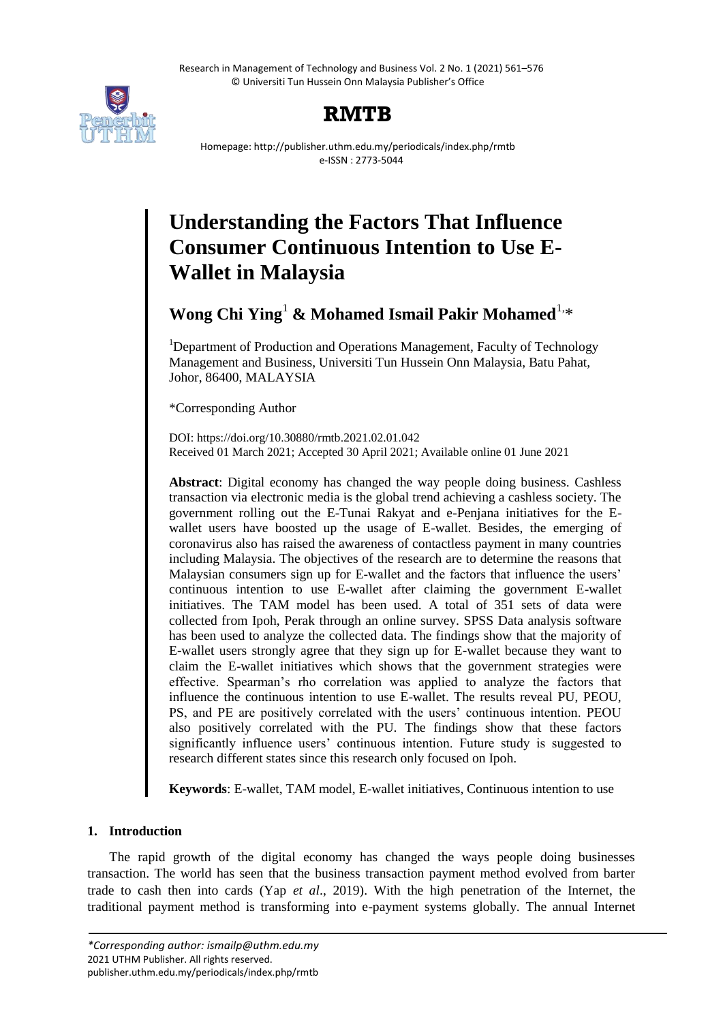Research in Management of Technology and Business Vol. 2 No. 1 (2021) 561–576 © Universiti Tun Hussein Onn Malaysia Publisher's Office



# **RMTB**

Homepage: http://publisher.uthm.edu.my/periodicals/index.php/rmtb e-ISSN : 2773-5044

# **Understanding the Factors That Influence Consumer Continuous Intention to Use E-Wallet in Malaysia**

Wong Chi Ying<sup>1</sup> & Mohamed Ismail Pakir Mohamed<sup>1,\*</sup>

<sup>1</sup>Department of Production and Operations Management, Faculty of Technology Management and Business, Universiti Tun Hussein Onn Malaysia, Batu Pahat, Johor, 86400, MALAYSIA

\*Corresponding Author

DOI: https://doi.org/10.30880/rmtb.2021.02.01.042 Received 01 March 2021; Accepted 30 April 2021; Available online 01 June 2021

**Abstract**: Digital economy has changed the way people doing business. Cashless transaction via electronic media is the global trend achieving a cashless society. The government rolling out the E-Tunai Rakyat and e-Penjana initiatives for the Ewallet users have boosted up the usage of E-wallet. Besides, the emerging of coronavirus also has raised the awareness of contactless payment in many countries including Malaysia. The objectives of the research are to determine the reasons that Malaysian consumers sign up for E-wallet and the factors that influence the users' continuous intention to use E-wallet after claiming the government E-wallet initiatives. The TAM model has been used. A total of 351 sets of data were collected from Ipoh, Perak through an online survey. SPSS Data analysis software has been used to analyze the collected data. The findings show that the majority of E-wallet users strongly agree that they sign up for E-wallet because they want to claim the E-wallet initiatives which shows that the government strategies were effective. Spearman"s rho correlation was applied to analyze the factors that influence the continuous intention to use E-wallet. The results reveal PU, PEOU, PS, and PE are positively correlated with the users" continuous intention. PEOU also positively correlated with the PU. The findings show that these factors significantly influence users' continuous intention. Future study is suggested to research different states since this research only focused on Ipoh.

**Keywords**: E-wallet, TAM model, E-wallet initiatives, Continuous intention to use

# **1. Introduction**

The rapid growth of the digital economy has changed the ways people doing businesses transaction. The world has seen that the business transaction payment method evolved from barter trade to cash then into cards (Yap *et al*., 2019). With the high penetration of the Internet, the traditional payment method is transforming into e-payment systems globally. The annual Internet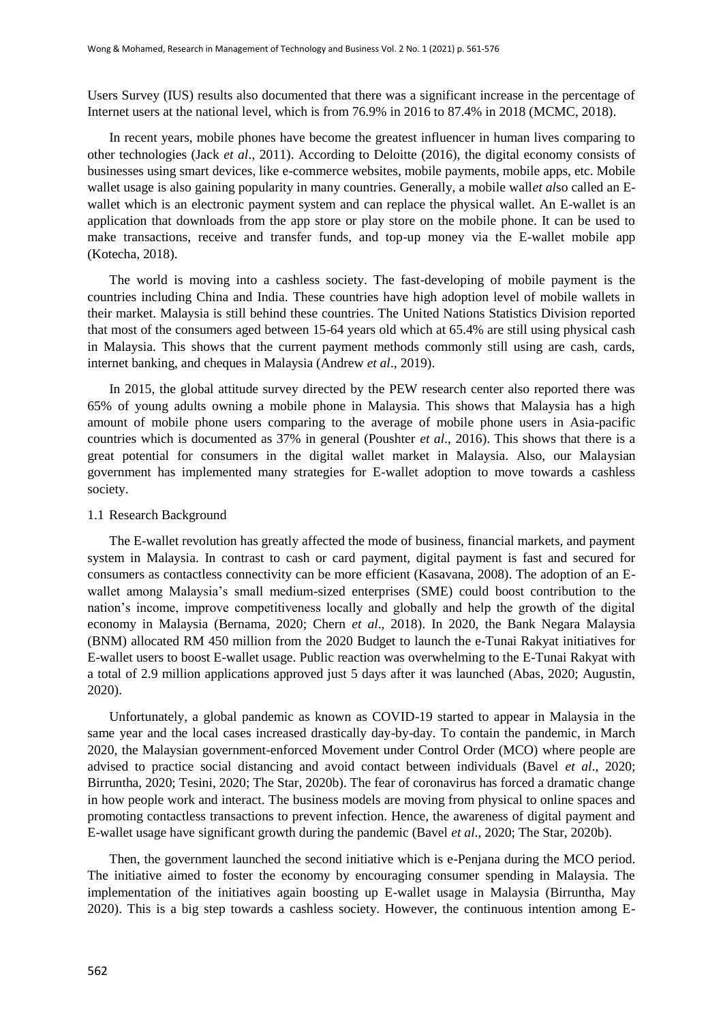Users Survey (IUS) results also documented that there was a significant increase in the percentage of Internet users at the national level, which is from 76.9% in 2016 to 87.4% in 2018 (MCMC, 2018).

In recent years, mobile phones have become the greatest influencer in human lives comparing to other technologies (Jack *et al*., 2011). According to Deloitte (2016), the digital economy consists of businesses using smart devices, like e-commerce websites, mobile payments, mobile apps, etc. Mobile wallet usage is also gaining popularity in many countries. Generally, a mobile wall*et al*so called an Ewallet which is an electronic payment system and can replace the physical wallet. An E-wallet is an application that downloads from the app store or play store on the mobile phone. It can be used to make transactions, receive and transfer funds, and top-up money via the E-wallet mobile app (Kotecha, 2018).

The world is moving into a cashless society. The fast-developing of mobile payment is the countries including China and India. These countries have high adoption level of mobile wallets in their market. Malaysia is still behind these countries. The United Nations Statistics Division reported that most of the consumers aged between 15-64 years old which at 65.4% are still using physical cash in Malaysia. This shows that the current payment methods commonly still using are cash, cards, internet banking, and cheques in Malaysia (Andrew *et al*., 2019).

In 2015, the global attitude survey directed by the PEW research center also reported there was 65% of young adults owning a mobile phone in Malaysia. This shows that Malaysia has a high amount of mobile phone users comparing to the average of mobile phone users in Asia-pacific countries which is documented as 37% in general (Poushter *et al*., 2016). This shows that there is a great potential for consumers in the digital wallet market in Malaysia. Also, our Malaysian government has implemented many strategies for E-wallet adoption to move towards a cashless society.

## 1.1 Research Background

The E-wallet revolution has greatly affected the mode of business, financial markets, and payment system in Malaysia. In contrast to cash or card payment, digital payment is fast and secured for consumers as contactless connectivity can be more efficient (Kasavana, 2008). The adoption of an Ewallet among Malaysia's small medium-sized enterprises (SME) could boost contribution to the nation"s income, improve competitiveness locally and globally and help the growth of the digital economy in Malaysia (Bernama, 2020; Chern *et al*., 2018). In 2020, the Bank Negara Malaysia (BNM) allocated RM 450 million from the 2020 Budget to launch the e-Tunai Rakyat initiatives for E-wallet users to boost E-wallet usage. Public reaction was overwhelming to the E-Tunai Rakyat with a total of 2.9 million applications approved just 5 days after it was launched (Abas, 2020; Augustin, 2020).

Unfortunately, a global pandemic as known as COVID-19 started to appear in Malaysia in the same year and the local cases increased drastically day-by-day. To contain the pandemic, in March 2020, the Malaysian government-enforced Movement under Control Order (MCO) where people are advised to practice social distancing and avoid contact between individuals (Bavel *et al*., 2020; Birruntha, 2020; Tesini, 2020; The Star, 2020b). The fear of coronavirus has forced a dramatic change in how people work and interact. The business models are moving from physical to online spaces and promoting contactless transactions to prevent infection. Hence, the awareness of digital payment and E-wallet usage have significant growth during the pandemic (Bavel *et al*., 2020; The Star, 2020b).

Then, the government launched the second initiative which is e-Penjana during the MCO period. The initiative aimed to foster the economy by encouraging consumer spending in Malaysia. The implementation of the initiatives again boosting up E-wallet usage in Malaysia (Birruntha, May 2020). This is a big step towards a cashless society. However, the continuous intention among E-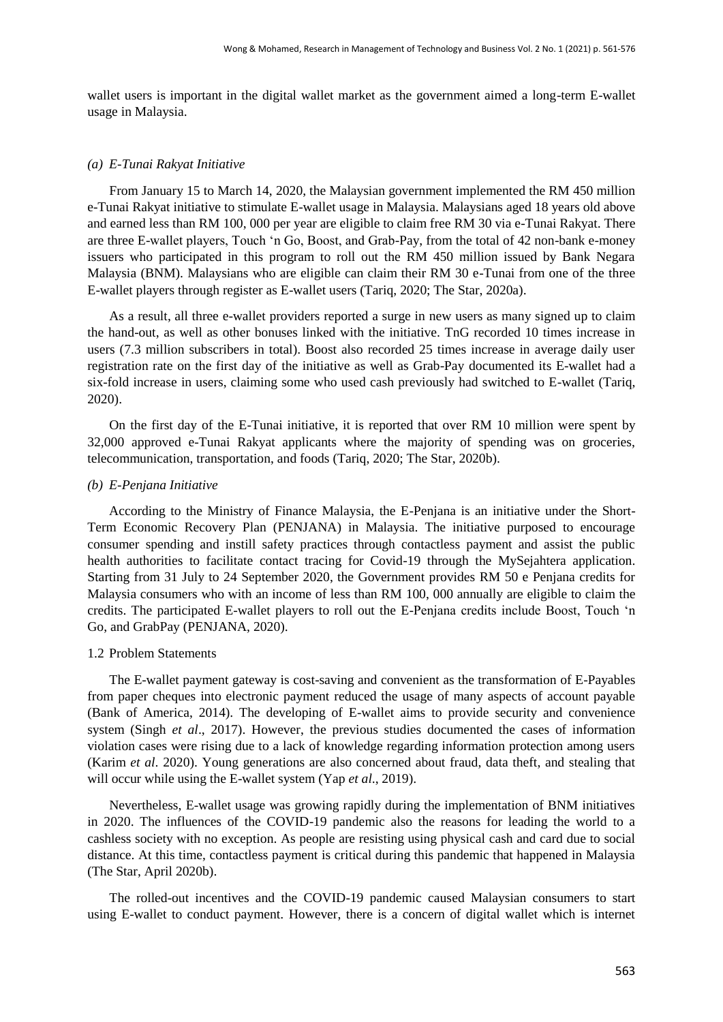wallet users is important in the digital wallet market as the government aimed a long-term E-wallet usage in Malaysia.

#### *(a) E-Tunai Rakyat Initiative*

From January 15 to March 14, 2020, the Malaysian government implemented the RM 450 million e-Tunai Rakyat initiative to stimulate E-wallet usage in Malaysia. Malaysians aged 18 years old above and earned less than RM 100, 000 per year are eligible to claim free RM 30 via e-Tunai Rakyat. There are three E-wallet players, Touch "n Go, Boost, and Grab-Pay, from the total of 42 non-bank e-money issuers who participated in this program to roll out the RM 450 million issued by Bank Negara Malaysia (BNM). Malaysians who are eligible can claim their RM 30 e-Tunai from one of the three E-wallet players through register as E-wallet users (Tariq, 2020; The Star, 2020a).

As a result, all three e-wallet providers reported a surge in new users as many signed up to claim the hand-out, as well as other bonuses linked with the initiative. TnG recorded 10 times increase in users (7.3 million subscribers in total). Boost also recorded 25 times increase in average daily user registration rate on the first day of the initiative as well as Grab-Pay documented its E-wallet had a six-fold increase in users, claiming some who used cash previously had switched to E-wallet (Tariq, 2020).

On the first day of the E-Tunai initiative, it is reported that over RM 10 million were spent by 32,000 approved e-Tunai Rakyat applicants where the majority of spending was on groceries, telecommunication, transportation, and foods (Tariq, 2020; The Star, 2020b).

#### *(b) E-Penjana Initiative*

According to the Ministry of Finance Malaysia, the E-Penjana is an initiative under the Short-Term Economic Recovery Plan (PENJANA) in Malaysia. The initiative purposed to encourage consumer spending and instill safety practices through contactless payment and assist the public health authorities to facilitate contact tracing for Covid-19 through the MySejahtera application. Starting from 31 July to 24 September 2020, the Government provides RM 50 e Penjana credits for Malaysia consumers who with an income of less than RM 100, 000 annually are eligible to claim the credits. The participated E-wallet players to roll out the E-Penjana credits include Boost, Touch "n Go, and GrabPay (PENJANA, 2020).

#### 1.2 Problem Statements

The E-wallet payment gateway is cost-saving and convenient as the transformation of E-Payables from paper cheques into electronic payment reduced the usage of many aspects of account payable (Bank of America, 2014). The developing of E-wallet aims to provide security and convenience system (Singh *et al*., 2017). However, the previous studies documented the cases of information violation cases were rising due to a lack of knowledge regarding information protection among users (Karim *et al*. 2020). Young generations are also concerned about fraud, data theft, and stealing that will occur while using the E-wallet system (Yap *et al*., 2019).

Nevertheless, E-wallet usage was growing rapidly during the implementation of BNM initiatives in 2020. The influences of the COVID-19 pandemic also the reasons for leading the world to a cashless society with no exception. As people are resisting using physical cash and card due to social distance. At this time, contactless payment is critical during this pandemic that happened in Malaysia (The Star, April 2020b).

The rolled-out incentives and the COVID-19 pandemic caused Malaysian consumers to start using E-wallet to conduct payment. However, there is a concern of digital wallet which is internet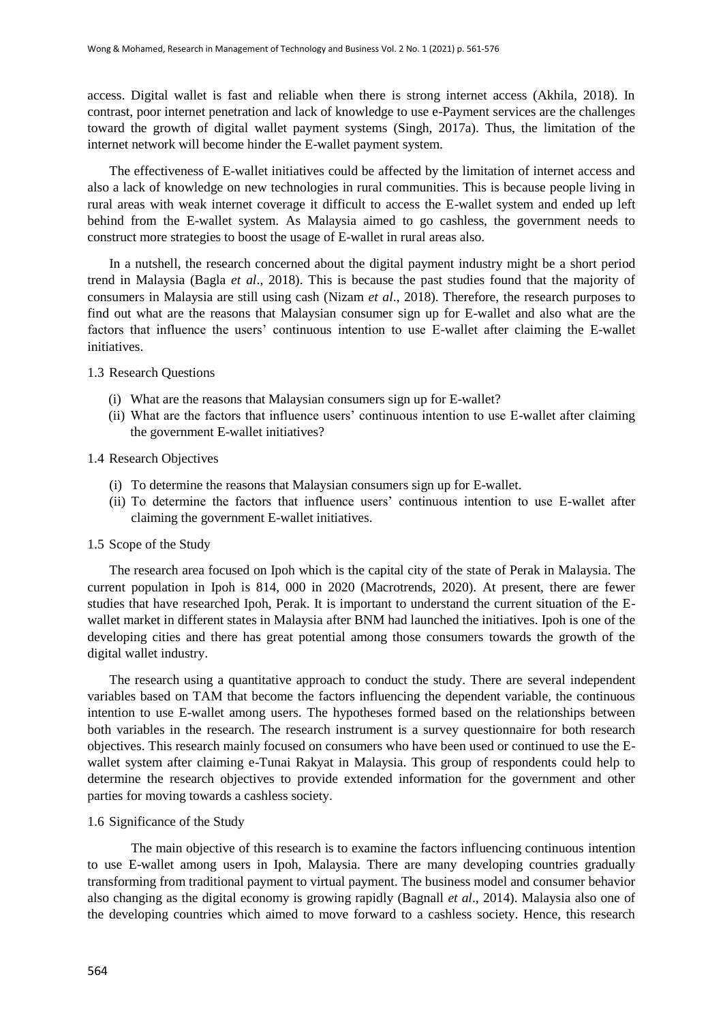access. Digital wallet is fast and reliable when there is strong internet access (Akhila, 2018). In contrast, poor internet penetration and lack of knowledge to use e-Payment services are the challenges toward the growth of digital wallet payment systems (Singh, 2017a). Thus, the limitation of the internet network will become hinder the E-wallet payment system.

The effectiveness of E-wallet initiatives could be affected by the limitation of internet access and also a lack of knowledge on new technologies in rural communities. This is because people living in rural areas with weak internet coverage it difficult to access the E-wallet system and ended up left behind from the E-wallet system. As Malaysia aimed to go cashless, the government needs to construct more strategies to boost the usage of E-wallet in rural areas also.

In a nutshell, the research concerned about the digital payment industry might be a short period trend in Malaysia (Bagla *et al*., 2018). This is because the past studies found that the majority of consumers in Malaysia are still using cash (Nizam *et al*., 2018). Therefore, the research purposes to find out what are the reasons that Malaysian consumer sign up for E-wallet and also what are the factors that influence the users" continuous intention to use E-wallet after claiming the E-wallet initiatives.

#### 1.3 Research Questions

- (i) What are the reasons that Malaysian consumers sign up for E-wallet?
- (ii) What are the factors that influence users" continuous intention to use E-wallet after claiming the government E-wallet initiatives?

## 1.4 Research Objectives

- (i) To determine the reasons that Malaysian consumers sign up for E-wallet.
- (ii) To determine the factors that influence users" continuous intention to use E-wallet after claiming the government E-wallet initiatives.

#### 1.5 Scope of the Study

The research area focused on Ipoh which is the capital city of the state of Perak in Malaysia. The current population in Ipoh is 814, 000 in 2020 (Macrotrends, 2020). At present, there are fewer studies that have researched Ipoh, Perak. It is important to understand the current situation of the Ewallet market in different states in Malaysia after BNM had launched the initiatives. Ipoh is one of the developing cities and there has great potential among those consumers towards the growth of the digital wallet industry.

The research using a quantitative approach to conduct the study. There are several independent variables based on TAM that become the factors influencing the dependent variable, the continuous intention to use E-wallet among users. The hypotheses formed based on the relationships between both variables in the research. The research instrument is a survey questionnaire for both research objectives. This research mainly focused on consumers who have been used or continued to use the Ewallet system after claiming e-Tunai Rakyat in Malaysia. This group of respondents could help to determine the research objectives to provide extended information for the government and other parties for moving towards a cashless society.

#### 1.6 Significance of the Study

The main objective of this research is to examine the factors influencing continuous intention to use E-wallet among users in Ipoh, Malaysia. There are many developing countries gradually transforming from traditional payment to virtual payment. The business model and consumer behavior also changing as the digital economy is growing rapidly (Bagnall *et al*., 2014). Malaysia also one of the developing countries which aimed to move forward to a cashless society. Hence, this research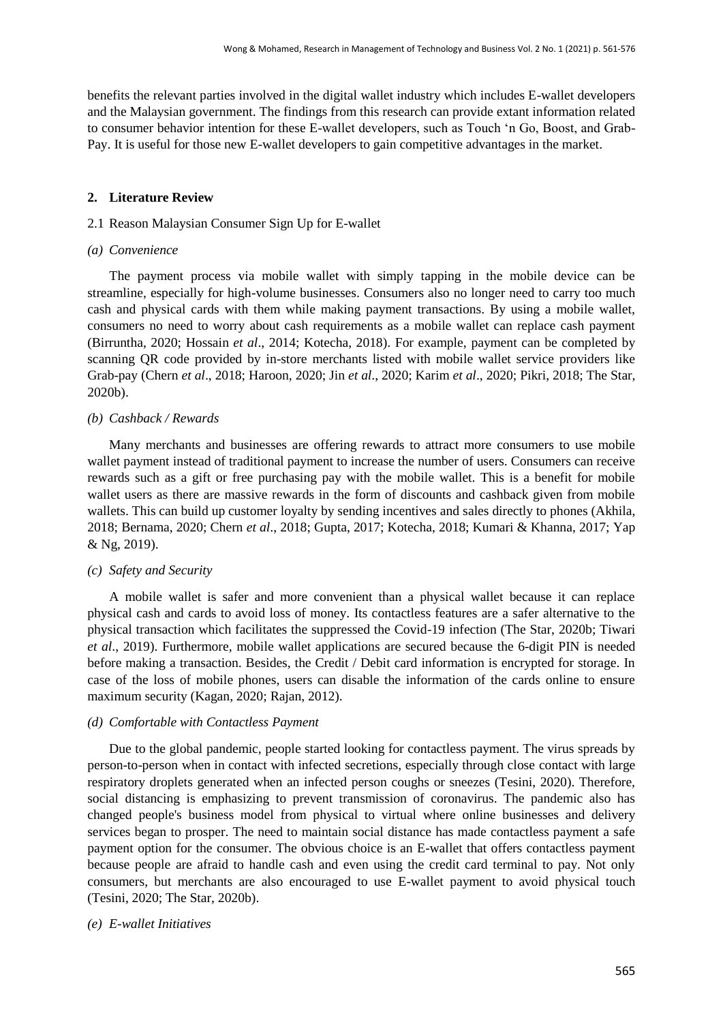benefits the relevant parties involved in the digital wallet industry which includes E-wallet developers and the Malaysian government. The findings from this research can provide extant information related to consumer behavior intention for these E-wallet developers, such as Touch "n Go, Boost, and Grab-Pay. It is useful for those new E-wallet developers to gain competitive advantages in the market.

# **2. Literature Review**

# 2.1 Reason Malaysian Consumer Sign Up for E-wallet

## *(a) Convenience*

The payment process via mobile wallet with simply tapping in the mobile device can be streamline, especially for high-volume businesses. Consumers also no longer need to carry too much cash and physical cards with them while making payment transactions. By using a mobile wallet, consumers no need to worry about cash requirements as a mobile wallet can replace cash payment (Birruntha, 2020; Hossain *et al*., 2014; Kotecha, 2018). For example, payment can be completed by scanning QR code provided by in-store merchants listed with mobile wallet service providers like Grab-pay (Chern *et al*., 2018; Haroon, 2020; Jin *et al*., 2020; Karim *et al*., 2020; Pikri, 2018; The Star, 2020b).

# *(b) Cashback / Rewards*

Many merchants and businesses are offering rewards to attract more consumers to use mobile wallet payment instead of traditional payment to increase the number of users. Consumers can receive rewards such as a gift or free purchasing pay with the mobile wallet. This is a benefit for mobile wallet users as there are massive rewards in the form of discounts and cashback given from mobile wallets. This can build up customer loyalty by sending incentives and sales directly to phones (Akhila, 2018; Bernama, 2020; Chern *et al*., 2018; Gupta, 2017; Kotecha, 2018; Kumari & Khanna, 2017; Yap & Ng, 2019).

# *(c) Safety and Security*

A mobile wallet is safer and more convenient than a physical wallet because it can replace physical cash and cards to avoid loss of money. Its contactless features are a safer alternative to the physical transaction which facilitates the suppressed the Covid-19 infection (The Star, 2020b; Tiwari *et al*., 2019). Furthermore, mobile wallet applications are secured because the 6-digit PIN is needed before making a transaction. Besides, the Credit / Debit card information is encrypted for storage. In case of the loss of mobile phones, users can disable the information of the cards online to ensure maximum security (Kagan, 2020; Rajan, 2012).

# *(d) Comfortable with Contactless Payment*

Due to the global pandemic, people started looking for contactless payment. The virus spreads by person-to-person when in contact with infected secretions, especially through close contact with large respiratory droplets generated when an infected person coughs or sneezes (Tesini, 2020). Therefore, social distancing is emphasizing to prevent transmission of coronavirus. The pandemic also has changed people's business model from physical to virtual where online businesses and delivery services began to prosper. The need to maintain social distance has made contactless payment a safe payment option for the consumer. The obvious choice is an E-wallet that offers contactless payment because people are afraid to handle cash and even using the credit card terminal to pay. Not only consumers, but merchants are also encouraged to use E-wallet payment to avoid physical touch (Tesini, 2020; The Star, 2020b).

# *(e) E-wallet Initiatives*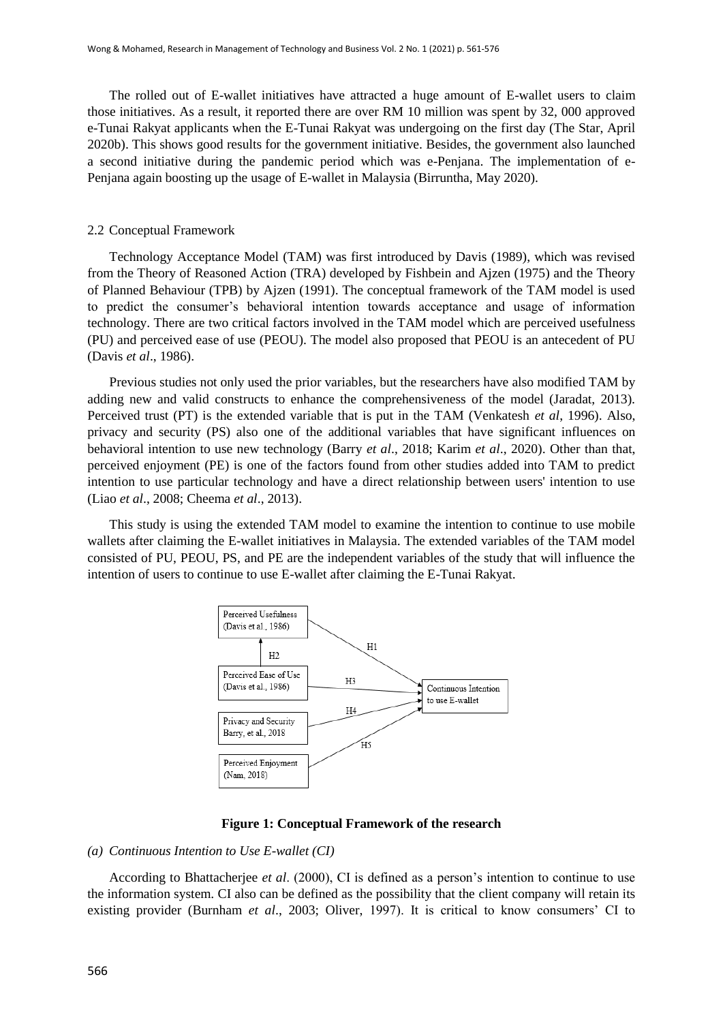The rolled out of E-wallet initiatives have attracted a huge amount of E-wallet users to claim those initiatives. As a result, it reported there are over RM 10 million was spent by 32, 000 approved e-Tunai Rakyat applicants when the E-Tunai Rakyat was undergoing on the first day (The Star, April 2020b). This shows good results for the government initiative. Besides, the government also launched a second initiative during the pandemic period which was e-Penjana. The implementation of e-Penjana again boosting up the usage of E-wallet in Malaysia (Birruntha, May 2020).

#### 2.2 Conceptual Framework

Technology Acceptance Model (TAM) was first introduced by Davis (1989), which was revised from the Theory of Reasoned Action (TRA) developed by Fishbein and Ajzen (1975) and the Theory of Planned Behaviour (TPB) by Ajzen (1991). The conceptual framework of the TAM model is used to predict the consumer"s behavioral intention towards acceptance and usage of information technology. There are two critical factors involved in the TAM model which are perceived usefulness (PU) and perceived ease of use (PEOU). The model also proposed that PEOU is an antecedent of PU (Davis *et al*., 1986).

Previous studies not only used the prior variables, but the researchers have also modified TAM by adding new and valid constructs to enhance the comprehensiveness of the model (Jaradat, 2013). Perceived trust (PT) is the extended variable that is put in the TAM (Venkatesh *et al*, 1996). Also, privacy and security (PS) also one of the additional variables that have significant influences on behavioral intention to use new technology (Barry *et al*., 2018; Karim *et al*., 2020). Other than that, perceived enjoyment (PE) is one of the factors found from other studies added into TAM to predict intention to use particular technology and have a direct relationship between users' intention to use (Liao *et al*., 2008; Cheema *et al*., 2013).

This study is using the extended TAM model to examine the intention to continue to use mobile wallets after claiming the E-wallet initiatives in Malaysia. The extended variables of the TAM model consisted of PU, PEOU, PS, and PE are the independent variables of the study that will influence the intention of users to continue to use E-wallet after claiming the E-Tunai Rakyat.



#### **Figure 1: Conceptual Framework of the research**

#### *(a) Continuous Intention to Use E-wallet (CI)*

According to Bhattacherjee *et al*. (2000), CI is defined as a person"s intention to continue to use the information system. CI also can be defined as the possibility that the client company will retain its existing provider (Burnham *et al.*, 2003; Oliver, 1997). It is critical to know consumers' CI to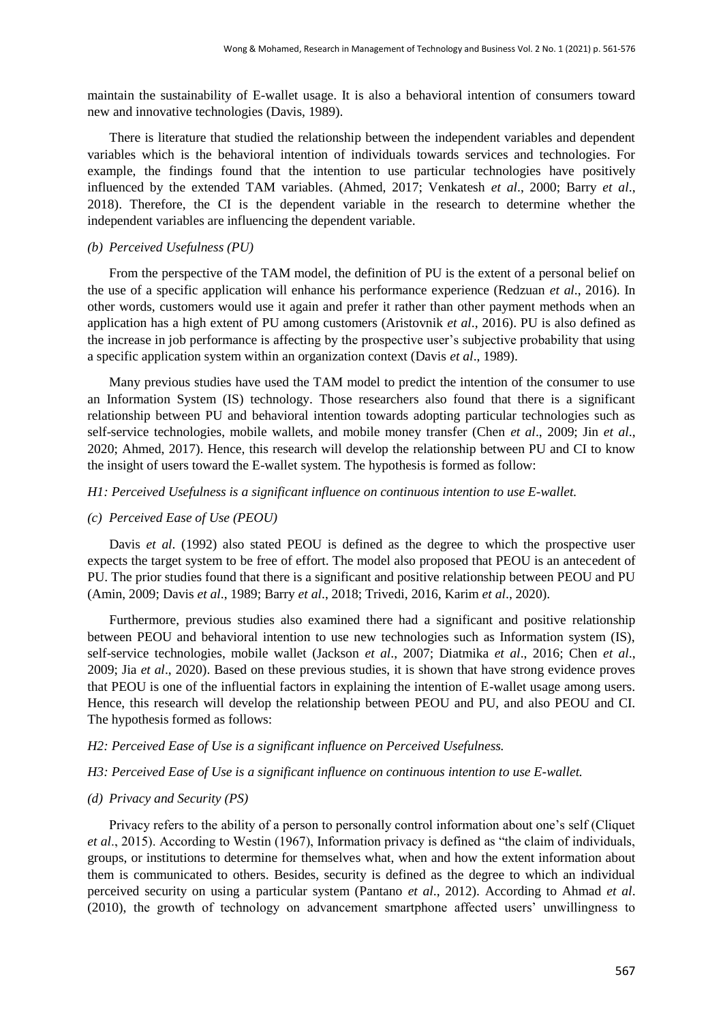maintain the sustainability of E-wallet usage. It is also a behavioral intention of consumers toward new and innovative technologies (Davis, 1989).

There is literature that studied the relationship between the independent variables and dependent variables which is the behavioral intention of individuals towards services and technologies. For example, the findings found that the intention to use particular technologies have positively influenced by the extended TAM variables. (Ahmed, 2017; Venkatesh *et al*., 2000; Barry *et al*., 2018). Therefore, the CI is the dependent variable in the research to determine whether the independent variables are influencing the dependent variable.

## *(b) Perceived Usefulness (PU)*

From the perspective of the TAM model, the definition of PU is the extent of a personal belief on the use of a specific application will enhance his performance experience (Redzuan *et al*., 2016). In other words, customers would use it again and prefer it rather than other payment methods when an application has a high extent of PU among customers (Aristovnik *et al*., 2016). PU is also defined as the increase in job performance is affecting by the prospective user"s subjective probability that using a specific application system within an organization context (Davis *et al*., 1989).

Many previous studies have used the TAM model to predict the intention of the consumer to use an Information System (IS) technology. Those researchers also found that there is a significant relationship between PU and behavioral intention towards adopting particular technologies such as self-service technologies, mobile wallets, and mobile money transfer (Chen *et al*., 2009; Jin *et al*., 2020; Ahmed, 2017). Hence, this research will develop the relationship between PU and CI to know the insight of users toward the E-wallet system. The hypothesis is formed as follow:

#### *H1: Perceived Usefulness is a significant influence on continuous intention to use E-wallet.*

### *(c) Perceived Ease of Use (PEOU)*

Davis *et al*. (1992) also stated PEOU is defined as the degree to which the prospective user expects the target system to be free of effort. The model also proposed that PEOU is an antecedent of PU. The prior studies found that there is a significant and positive relationship between PEOU and PU (Amin, 2009; Davis *et al*., 1989; Barry *et al*., 2018; Trivedi, 2016, Karim *et al*., 2020).

Furthermore, previous studies also examined there had a significant and positive relationship between PEOU and behavioral intention to use new technologies such as Information system (IS), self-service technologies, mobile wallet (Jackson *et al*., 2007; Diatmika *et al*., 2016; Chen *et al*., 2009; Jia *et al*., 2020). Based on these previous studies, it is shown that have strong evidence proves that PEOU is one of the influential factors in explaining the intention of E-wallet usage among users. Hence, this research will develop the relationship between PEOU and PU, and also PEOU and CI. The hypothesis formed as follows:

#### *H2: Perceived Ease of Use is a significant influence on Perceived Usefulness.*

#### *H3: Perceived Ease of Use is a significant influence on continuous intention to use E-wallet.*

#### *(d) Privacy and Security (PS)*

Privacy refers to the ability of a person to personally control information about one"s self (Cliquet *et al*., 2015). According to Westin (1967), Information privacy is defined as "the claim of individuals, groups, or institutions to determine for themselves what, when and how the extent information about them is communicated to others. Besides, security is defined as the degree to which an individual perceived security on using a particular system (Pantano *et al*., 2012). According to Ahmad *et al*. (2010), the growth of technology on advancement smartphone affected users' unwillingness to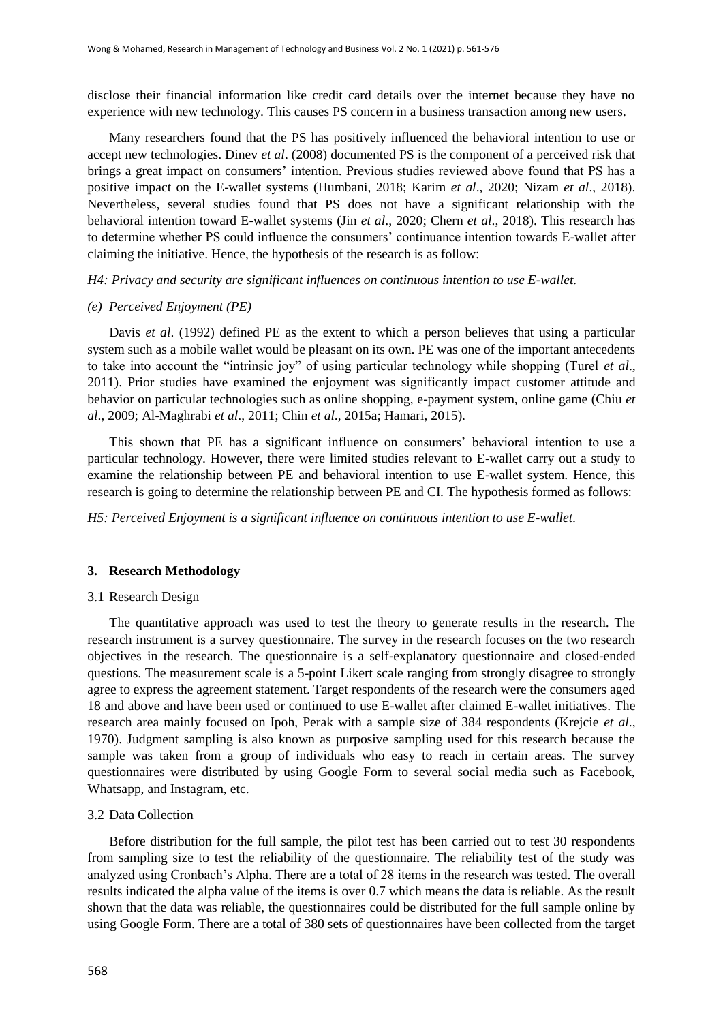disclose their financial information like credit card details over the internet because they have no experience with new technology. This causes PS concern in a business transaction among new users.

Many researchers found that the PS has positively influenced the behavioral intention to use or accept new technologies. Dinev *et al*. (2008) documented PS is the component of a perceived risk that brings a great impact on consumers' intention. Previous studies reviewed above found that PS has a positive impact on the E-wallet systems (Humbani, 2018; Karim *et al*., 2020; Nizam *et al*., 2018). Nevertheless, several studies found that PS does not have a significant relationship with the behavioral intention toward E-wallet systems (Jin *et al*., 2020; Chern *et al*., 2018). This research has to determine whether PS could influence the consumers' continuance intention towards E-wallet after claiming the initiative. Hence, the hypothesis of the research is as follow:

*H4: Privacy and security are significant influences on continuous intention to use E-wallet.*

#### *(e) Perceived Enjoyment (PE)*

Davis *et al*. (1992) defined PE as the extent to which a person believes that using a particular system such as a mobile wallet would be pleasant on its own. PE was one of the important antecedents to take into account the "intrinsic joy" of using particular technology while shopping (Turel *et al*., 2011). Prior studies have examined the enjoyment was significantly impact customer attitude and behavior on particular technologies such as online shopping, e-payment system, online game (Chiu *et al*., 2009; Al-Maghrabi *et al*., 2011; Chin *et al*., 2015a; Hamari, 2015).

This shown that PE has a significant influence on consumers" behavioral intention to use a particular technology. However, there were limited studies relevant to E-wallet carry out a study to examine the relationship between PE and behavioral intention to use E-wallet system. Hence, this research is going to determine the relationship between PE and CI. The hypothesis formed as follows:

*H5: Perceived Enjoyment is a significant influence on continuous intention to use E-wallet.*

#### **3. Research Methodology**

#### 3.1 Research Design

The quantitative approach was used to test the theory to generate results in the research. The research instrument is a survey questionnaire. The survey in the research focuses on the two research objectives in the research. The questionnaire is a self-explanatory questionnaire and closed-ended questions. The measurement scale is a 5-point Likert scale ranging from strongly disagree to strongly agree to express the agreement statement. Target respondents of the research were the consumers aged 18 and above and have been used or continued to use E-wallet after claimed E-wallet initiatives. The research area mainly focused on Ipoh, Perak with a sample size of 384 respondents (Krejcie *et al*., 1970). Judgment sampling is also known as purposive sampling used for this research because the sample was taken from a group of individuals who easy to reach in certain areas. The survey questionnaires were distributed by using Google Form to several social media such as Facebook, Whatsapp, and Instagram, etc.

#### 3.2 Data Collection

Before distribution for the full sample, the pilot test has been carried out to test 30 respondents from sampling size to test the reliability of the questionnaire. The reliability test of the study was analyzed using Cronbach"s Alpha. There are a total of 28 items in the research was tested. The overall results indicated the alpha value of the items is over 0.7 which means the data is reliable. As the result shown that the data was reliable, the questionnaires could be distributed for the full sample online by using Google Form. There are a total of 380 sets of questionnaires have been collected from the target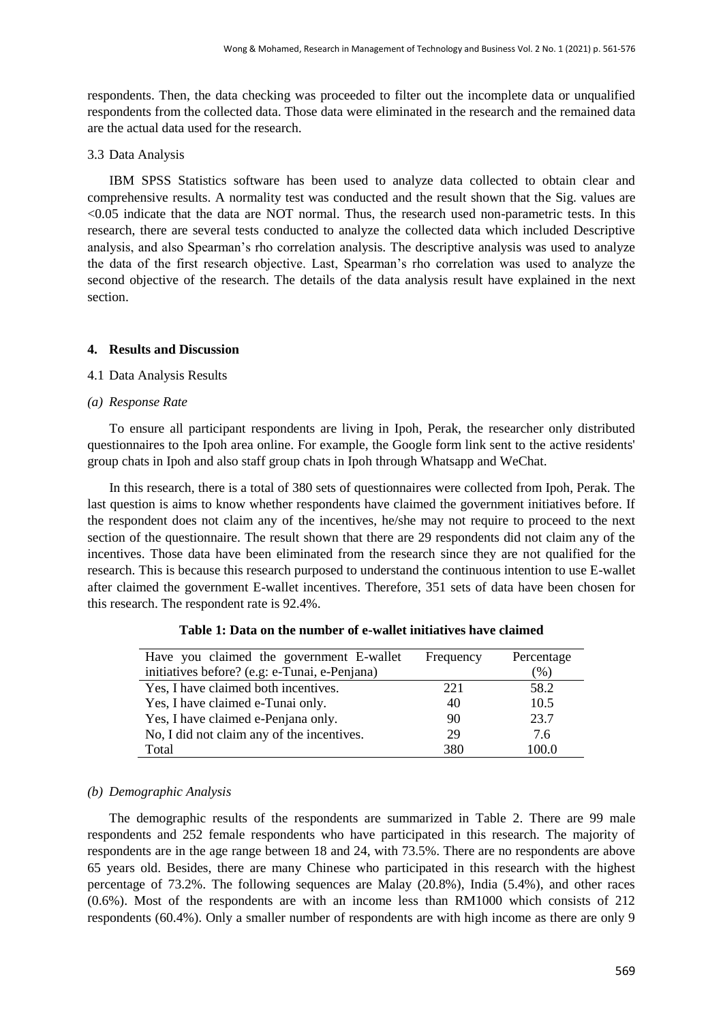respondents. Then, the data checking was proceeded to filter out the incomplete data or unqualified respondents from the collected data. Those data were eliminated in the research and the remained data are the actual data used for the research.

3.3 Data Analysis

IBM SPSS Statistics software has been used to analyze data collected to obtain clear and comprehensive results. A normality test was conducted and the result shown that the Sig. values are <0.05 indicate that the data are NOT normal. Thus, the research used non-parametric tests. In this research, there are several tests conducted to analyze the collected data which included Descriptive analysis, and also Spearman"s rho correlation analysis. The descriptive analysis was used to analyze the data of the first research objective. Last, Spearman"s rho correlation was used to analyze the second objective of the research. The details of the data analysis result have explained in the next section.

# **4. Results and Discussion**

## 4.1 Data Analysis Results

## *(a) Response Rate*

To ensure all participant respondents are living in Ipoh, Perak, the researcher only distributed questionnaires to the Ipoh area online. For example, the Google form link sent to the active residents' group chats in Ipoh and also staff group chats in Ipoh through Whatsapp and WeChat.

In this research, there is a total of 380 sets of questionnaires were collected from Ipoh, Perak. The last question is aims to know whether respondents have claimed the government initiatives before. If the respondent does not claim any of the incentives, he/she may not require to proceed to the next section of the questionnaire. The result shown that there are 29 respondents did not claim any of the incentives. Those data have been eliminated from the research since they are not qualified for the research. This is because this research purposed to understand the continuous intention to use E-wallet after claimed the government E-wallet incentives. Therefore, 351 sets of data have been chosen for this research. The respondent rate is 92.4%.

| Have you claimed the government E-wallet      | Frequency | Percentage        |
|-----------------------------------------------|-----------|-------------------|
| initiatives before? (e.g: e-Tunai, e-Penjana) |           | $\mathcal{O}_0$ ) |
| Yes, I have claimed both incentives.          | 221       | 58.2              |
| Yes, I have claimed e-Tunai only.             | 40        | 10.5              |
| Yes, I have claimed e-Penjana only.           | 90        | 23.7              |
| No, I did not claim any of the incentives.    | 29        | 7.6               |
| Total                                         | 380       | 100.0             |

| Table 1: Data on the number of e-wallet initiatives have claimed |
|------------------------------------------------------------------|
|------------------------------------------------------------------|

#### *(b) Demographic Analysis*

The demographic results of the respondents are summarized in Table 2. There are 99 male respondents and 252 female respondents who have participated in this research. The majority of respondents are in the age range between 18 and 24, with 73.5%. There are no respondents are above 65 years old. Besides, there are many Chinese who participated in this research with the highest percentage of 73.2%. The following sequences are Malay (20.8%), India (5.4%), and other races (0.6%). Most of the respondents are with an income less than RM1000 which consists of 212 respondents (60.4%). Only a smaller number of respondents are with high income as there are only 9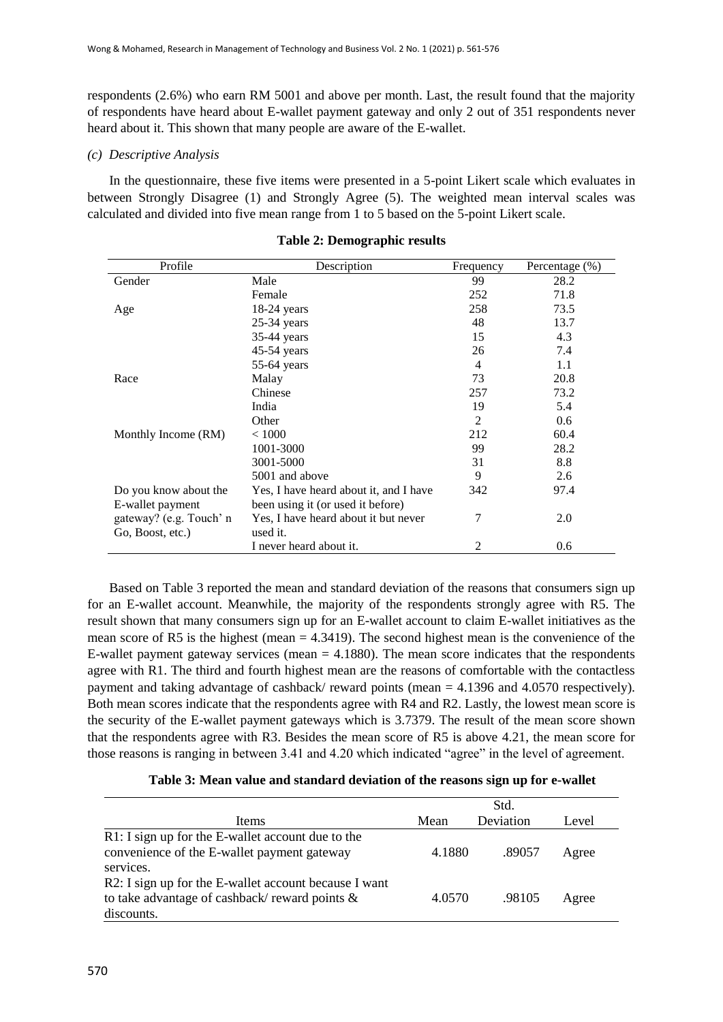respondents (2.6%) who earn RM 5001 and above per month. Last, the result found that the majority of respondents have heard about E-wallet payment gateway and only 2 out of 351 respondents never heard about it. This shown that many people are aware of the E-wallet.

# *(c) Descriptive Analysis*

In the questionnaire, these five items were presented in a 5-point Likert scale which evaluates in between Strongly Disagree (1) and Strongly Agree (5). The weighted mean interval scales was calculated and divided into five mean range from 1 to 5 based on the 5-point Likert scale.

| Profile                 | Description                            | Frequency      | Percentage (%) |
|-------------------------|----------------------------------------|----------------|----------------|
| Gender                  | Male                                   | 99             | 28.2           |
|                         | Female                                 | 252            | 71.8           |
| Age                     | $18-24$ years                          | 258            | 73.5           |
|                         | $25-34$ years                          | 48             | 13.7           |
|                         | 35-44 years                            | 15             | 4.3            |
|                         | $45-54$ years                          | 26             | 7.4            |
|                         | $55-64$ years                          | 4              | 1.1            |
| Race                    | Malay                                  | 73             | 20.8           |
|                         | Chinese                                | 257            | 73.2           |
|                         | India                                  | 19             | 5.4            |
|                         | Other                                  | $\overline{2}$ | 0.6            |
| Monthly Income (RM)     | ${}< 1000$                             | 212            | 60.4           |
|                         | 1001-3000                              | 99             | 28.2           |
|                         | 3001-5000                              | 31             | 8.8            |
|                         | 5001 and above                         | 9              | 2.6            |
| Do you know about the   | Yes, I have heard about it, and I have | 342            | 97.4           |
| E-wallet payment        | been using it (or used it before)      |                |                |
| gateway? (e.g. Touch' n | Yes, I have heard about it but never   | 7              | 2.0            |
| Go, Boost, etc.)        | used it.                               |                |                |
|                         | I never heard about it.                | 2              | 0.6            |

**Table 2: Demographic results**

Based on Table 3 reported the mean and standard deviation of the reasons that consumers sign up for an E-wallet account. Meanwhile, the majority of the respondents strongly agree with R5. The result shown that many consumers sign up for an E-wallet account to claim E-wallet initiatives as the mean score of R5 is the highest (mean  $= 4.3419$ ). The second highest mean is the convenience of the E-wallet payment gateway services (mean  $= 4.1880$ ). The mean score indicates that the respondents agree with R1. The third and fourth highest mean are the reasons of comfortable with the contactless payment and taking advantage of cashback/ reward points (mean = 4.1396 and 4.0570 respectively). Both mean scores indicate that the respondents agree with R4 and R2. Lastly, the lowest mean score is the security of the E-wallet payment gateways which is 3.7379. The result of the mean score shown that the respondents agree with R3. Besides the mean score of R5 is above 4.21, the mean score for those reasons is ranging in between 3.41 and 4.20 which indicated "agree" in the level of agreement.

|  | Table 3: Mean value and standard deviation of the reasons sign up for e-wallet |  |  |  |  |
|--|--------------------------------------------------------------------------------|--|--|--|--|
|  |                                                                                |  |  |  |  |

|                                                       |        | Std.      |       |
|-------------------------------------------------------|--------|-----------|-------|
| Items                                                 | Mean   | Deviation | Level |
| R1: I sign up for the E-wallet account due to the     |        |           |       |
| convenience of the E-wallet payment gateway           | 4.1880 | .89057    | Agree |
| services.                                             |        |           |       |
| R2: I sign up for the E-wallet account because I want |        |           |       |
| to take advantage of cashback/reward points &         | 4.0570 | .98105    | Agree |
| discounts.                                            |        |           |       |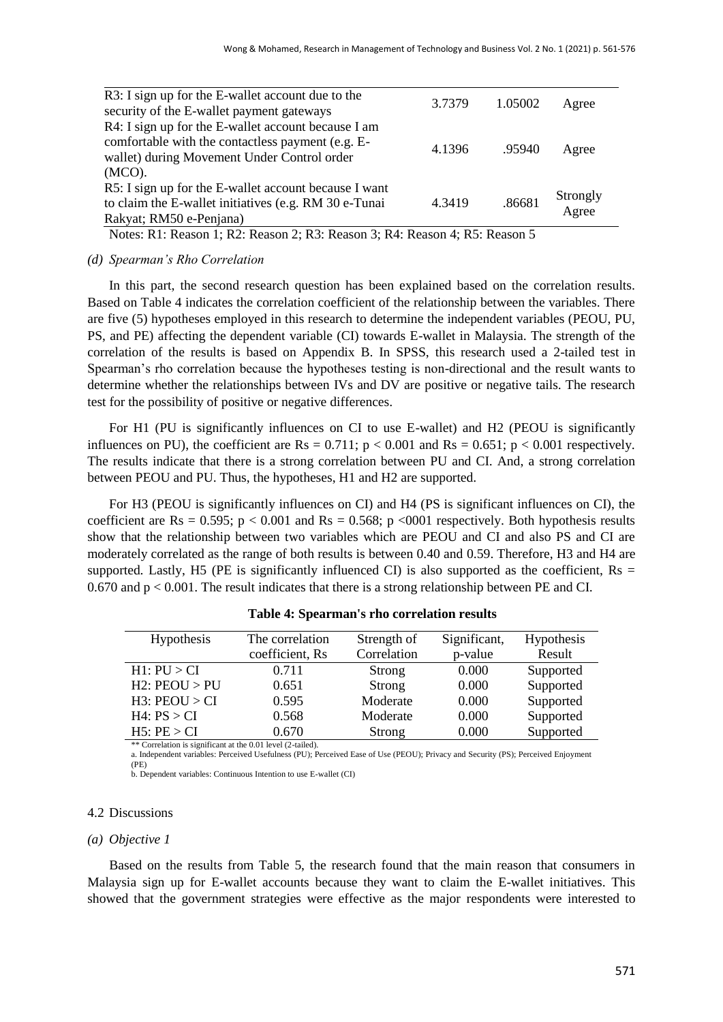| R3: I sign up for the E-wallet account due to the     | 3.7379 | 1.05002 |                   |
|-------------------------------------------------------|--------|---------|-------------------|
| security of the E-wallet payment gateways             |        |         | Agree             |
| R4: I sign up for the E-wallet account because I am   |        |         |                   |
| comfortable with the contactless payment (e.g. E-     | 4.1396 | .95940  |                   |
| wallet) during Movement Under Control order           |        |         | Agree             |
| $(MCO)$ .                                             |        |         |                   |
| R5: I sign up for the E-wallet account because I want |        |         |                   |
| to claim the E-wallet initiatives (e.g. RM 30 e-Tunai | 4.3419 | .86681  | Strongly<br>Agree |
| Rakyat; RM50 e-Penjana)                               |        |         |                   |
|                                                       |        |         |                   |

Notes: R1: Reason 1; R2: Reason 2; R3: Reason 3; R4: Reason 4; R5: Reason 5

## *(d) Spearman's Rho Correlation*

In this part, the second research question has been explained based on the correlation results. Based on Table 4 indicates the correlation coefficient of the relationship between the variables. There are five (5) hypotheses employed in this research to determine the independent variables (PEOU, PU, PS, and PE) affecting the dependent variable (CI) towards E-wallet in Malaysia. The strength of the correlation of the results is based on Appendix B. In SPSS, this research used a 2-tailed test in Spearman"s rho correlation because the hypotheses testing is non-directional and the result wants to determine whether the relationships between IVs and DV are positive or negative tails. The research test for the possibility of positive or negative differences.

For H1 (PU is significantly influences on CI to use E-wallet) and H2 (PEOU is significantly influences on PU), the coefficient are  $Rs = 0.711$ ;  $p < 0.001$  and  $Rs = 0.651$ ;  $p < 0.001$  respectively. The results indicate that there is a strong correlation between PU and CI. And, a strong correlation between PEOU and PU. Thus, the hypotheses, H1 and H2 are supported.

For H3 (PEOU is significantly influences on CI) and H4 (PS is significant influences on CI), the coefficient are  $\text{Rs} = 0.595$ ; p < 0.001 and  $\text{Rs} = 0.568$ ; p <0001 respectively. Both hypothesis results show that the relationship between two variables which are PEOU and CI and also PS and CI are moderately correlated as the range of both results is between 0.40 and 0.59. Therefore, H3 and H4 are supported. Lastly, H5 (PE is significantly influenced CI) is also supported as the coefficient,  $Rs =$ 0.670 and p < 0.001. The result indicates that there is a strong relationship between PE and CI.

| <b>Hypothesis</b> | The correlation | Strength of | Significant, | Hypothesis |
|-------------------|-----------------|-------------|--------------|------------|
|                   | coefficient, Rs | Correlation | p-value      | Result     |
| H1: PU > CI       | 0.711           | Strong      | 0.000        | Supported  |
| $H2:$ PEOU $>$ PU | 0.651           | Strong      | 0.000        | Supported  |
| $H3:$ PEOU $>$ CI | 0.595           | Moderate    | 0.000        | Supported  |
| H4: PS > CI       | 0.568           | Moderate    | 0.000        | Supported  |
| H5: PE > CI       | 0.670           | Strong      | 0.000        | Supported  |

**Table 4: Spearman's rho correlation results**

\*\* Correlation is significant at the 0.01 level (2-tailed).

a. Independent variables: Perceived Usefulness (PU); Perceived Ease of Use (PEOU); Privacy and Security (PS); Perceived Enjoyment (PE)

b. Dependent variables: Continuous Intention to use E-wallet (CI)

#### 4.2 Discussions

## *(a) Objective 1*

Based on the results from Table 5, the research found that the main reason that consumers in Malaysia sign up for E-wallet accounts because they want to claim the E-wallet initiatives. This showed that the government strategies were effective as the major respondents were interested to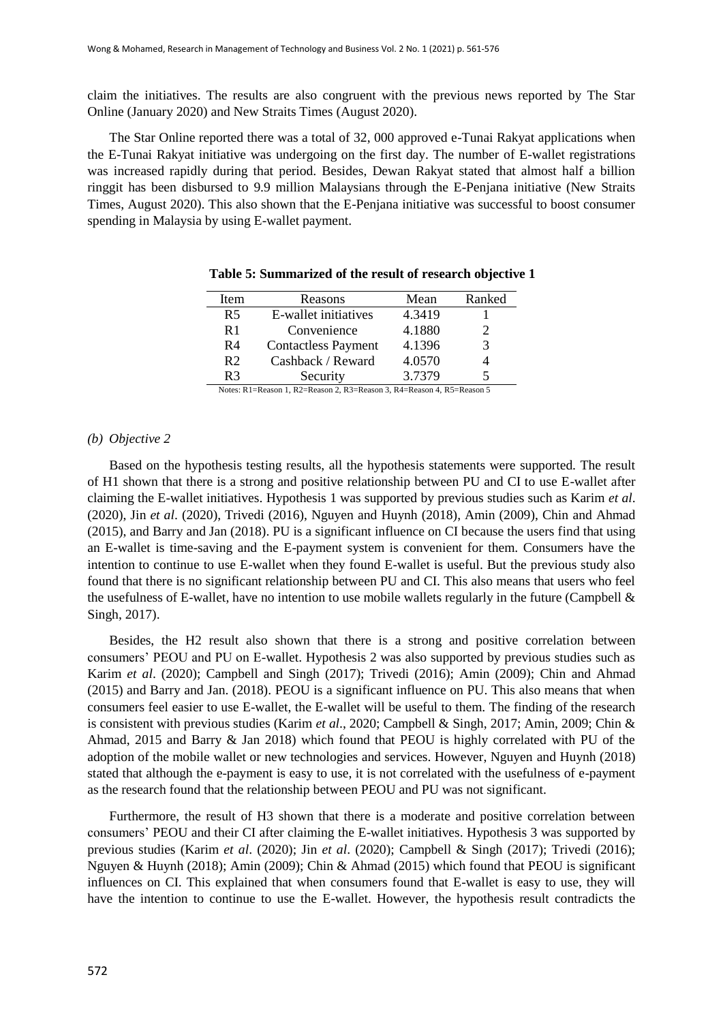claim the initiatives. The results are also congruent with the previous news reported by The Star Online (January 2020) and New Straits Times (August 2020).

The Star Online reported there was a total of 32, 000 approved e-Tunai Rakyat applications when the E-Tunai Rakyat initiative was undergoing on the first day. The number of E-wallet registrations was increased rapidly during that period. Besides, Dewan Rakyat stated that almost half a billion ringgit has been disbursed to 9.9 million Malaysians through the E-Penjana initiative (New Straits Times, August 2020). This also shown that the E-Penjana initiative was successful to boost consumer spending in Malaysia by using E-wallet payment.

| Item                                                                   | Reasons                    | Mean   | Ranked |  |
|------------------------------------------------------------------------|----------------------------|--------|--------|--|
| R <sub>5</sub>                                                         | E-wallet initiatives       | 4.3419 |        |  |
| R1                                                                     | Convenience                | 4.1880 | 2      |  |
| R4                                                                     | <b>Contactless Payment</b> | 4.1396 | 3      |  |
| R <sub>2</sub>                                                         | Cashback / Reward          | 4.0570 |        |  |
| R3                                                                     | Security                   | 3.7379 |        |  |
| Notes: R1=Reason 1, R2=Reason 2, R3=Reason 3, R4=Reason 4, R5=Reason 5 |                            |        |        |  |

|  |  | Table 5: Summarized of the result of research objective 1 |  |  |  |  |  |
|--|--|-----------------------------------------------------------|--|--|--|--|--|
|--|--|-----------------------------------------------------------|--|--|--|--|--|

#### *(b) Objective 2*

Based on the hypothesis testing results, all the hypothesis statements were supported. The result of H1 shown that there is a strong and positive relationship between PU and CI to use E-wallet after claiming the E-wallet initiatives. Hypothesis 1 was supported by previous studies such as Karim *et al*. (2020), Jin *et al*. (2020), Trivedi (2016), Nguyen and Huynh (2018), Amin (2009), Chin and Ahmad (2015), and Barry and Jan (2018). PU is a significant influence on CI because the users find that using an E-wallet is time-saving and the E-payment system is convenient for them. Consumers have the intention to continue to use E-wallet when they found E-wallet is useful. But the previous study also found that there is no significant relationship between PU and CI. This also means that users who feel the usefulness of E-wallet, have no intention to use mobile wallets regularly in the future (Campbell & Singh, 2017).

Besides, the H2 result also shown that there is a strong and positive correlation between consumers" PEOU and PU on E-wallet. Hypothesis 2 was also supported by previous studies such as Karim *et al*. (2020); Campbell and Singh (2017); Trivedi (2016); Amin (2009); Chin and Ahmad (2015) and Barry and Jan. (2018). PEOU is a significant influence on PU. This also means that when consumers feel easier to use E-wallet, the E-wallet will be useful to them. The finding of the research is consistent with previous studies (Karim *et al*., 2020; Campbell & Singh, 2017; Amin, 2009; Chin & Ahmad, 2015 and Barry & Jan 2018) which found that PEOU is highly correlated with PU of the adoption of the mobile wallet or new technologies and services. However, Nguyen and Huynh (2018) stated that although the e-payment is easy to use, it is not correlated with the usefulness of e-payment as the research found that the relationship between PEOU and PU was not significant.

Furthermore, the result of H3 shown that there is a moderate and positive correlation between consumers" PEOU and their CI after claiming the E-wallet initiatives. Hypothesis 3 was supported by previous studies (Karim *et al*. (2020); Jin *et al*. (2020); Campbell & Singh (2017); Trivedi (2016); Nguyen & Huynh (2018); Amin (2009); Chin & Ahmad (2015) which found that PEOU is significant influences on CI. This explained that when consumers found that E-wallet is easy to use, they will have the intention to continue to use the E-wallet. However, the hypothesis result contradicts the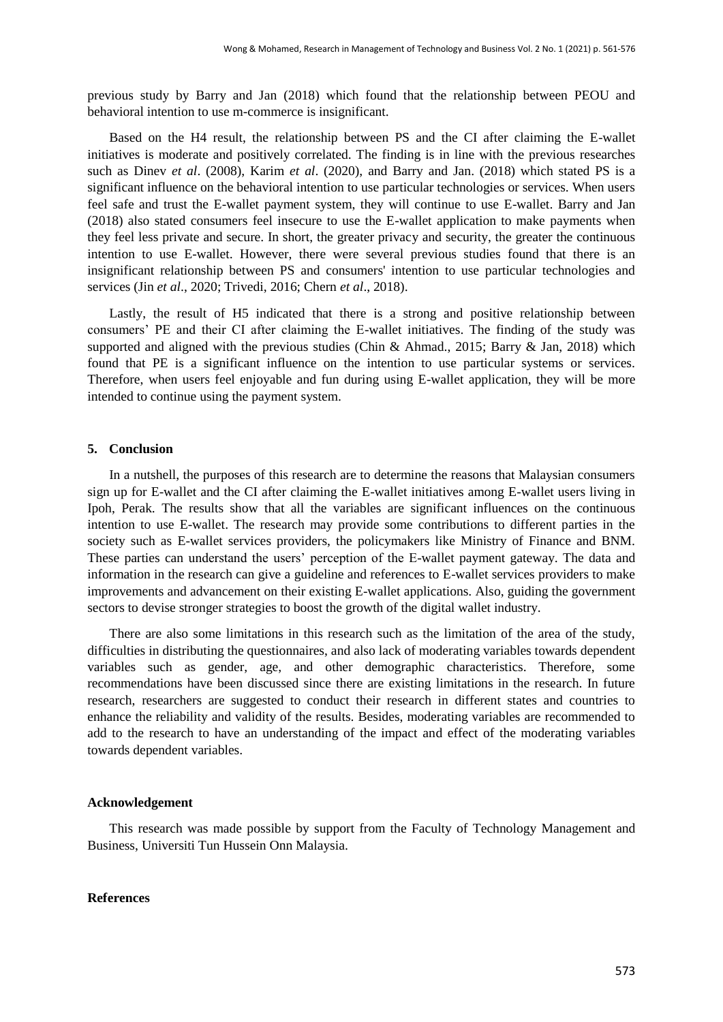previous study by Barry and Jan (2018) which found that the relationship between PEOU and behavioral intention to use m-commerce is insignificant.

Based on the H4 result, the relationship between PS and the CI after claiming the E-wallet initiatives is moderate and positively correlated. The finding is in line with the previous researches such as Dinev *et al*. (2008), Karim *et al*. (2020), and Barry and Jan. (2018) which stated PS is a significant influence on the behavioral intention to use particular technologies or services. When users feel safe and trust the E-wallet payment system, they will continue to use E-wallet. Barry and Jan (2018) also stated consumers feel insecure to use the E-wallet application to make payments when they feel less private and secure. In short, the greater privacy and security, the greater the continuous intention to use E-wallet. However, there were several previous studies found that there is an insignificant relationship between PS and consumers' intention to use particular technologies and services (Jin *et al*., 2020; Trivedi, 2016; Chern *et al*., 2018).

Lastly, the result of H5 indicated that there is a strong and positive relationship between consumers" PE and their CI after claiming the E-wallet initiatives. The finding of the study was supported and aligned with the previous studies (Chin & Ahmad., 2015; Barry & Jan, 2018) which found that PE is a significant influence on the intention to use particular systems or services. Therefore, when users feel enjoyable and fun during using E-wallet application, they will be more intended to continue using the payment system.

## **5. Conclusion**

In a nutshell, the purposes of this research are to determine the reasons that Malaysian consumers sign up for E-wallet and the CI after claiming the E-wallet initiatives among E-wallet users living in Ipoh, Perak. The results show that all the variables are significant influences on the continuous intention to use E-wallet. The research may provide some contributions to different parties in the society such as E-wallet services providers, the policymakers like Ministry of Finance and BNM. These parties can understand the users' perception of the E-wallet payment gateway. The data and information in the research can give a guideline and references to E-wallet services providers to make improvements and advancement on their existing E-wallet applications. Also, guiding the government sectors to devise stronger strategies to boost the growth of the digital wallet industry.

There are also some limitations in this research such as the limitation of the area of the study, difficulties in distributing the questionnaires, and also lack of moderating variables towards dependent variables such as gender, age, and other demographic characteristics. Therefore, some recommendations have been discussed since there are existing limitations in the research. In future research, researchers are suggested to conduct their research in different states and countries to enhance the reliability and validity of the results. Besides, moderating variables are recommended to add to the research to have an understanding of the impact and effect of the moderating variables towards dependent variables.

## **Acknowledgement**

This research was made possible by support from the Faculty of Technology Management and Business, Universiti Tun Hussein Onn Malaysia.

#### **References**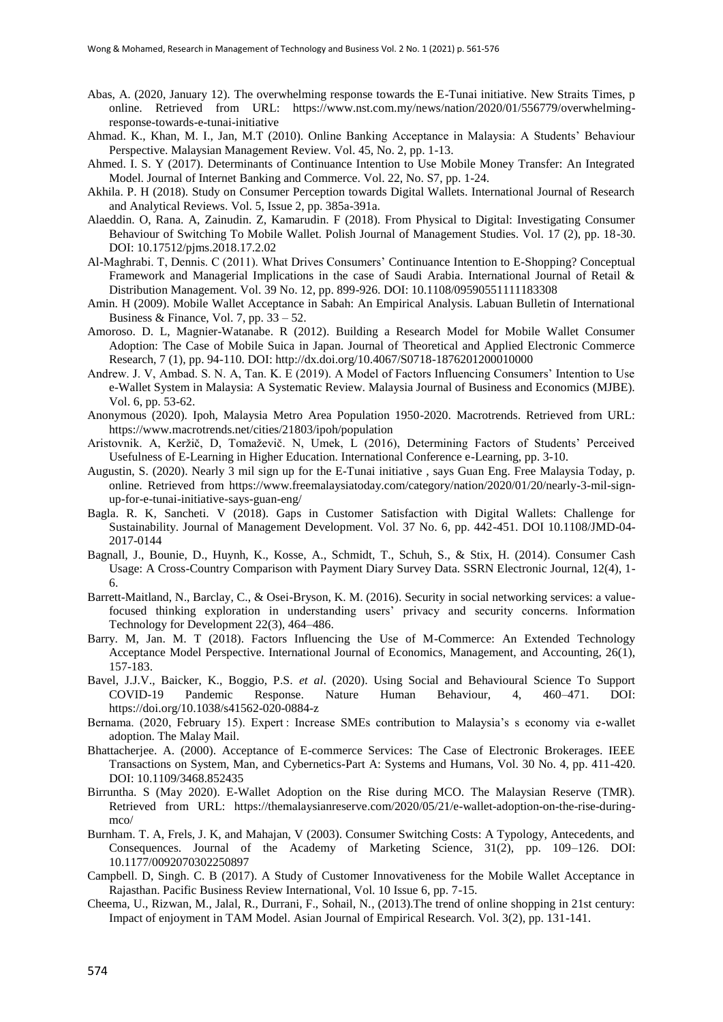- Abas, A. (2020, January 12). The overwhelming response towards the E-Tunai initiative. New Straits Times, p online. Retrieved from URL: https://www.nst.com.my/news/nation/2020/01/556779/overwhelmingresponse-towards-e-tunai-initiative
- Ahmad. K., Khan, M. I., Jan, M.T (2010). Online Banking Acceptance in Malaysia: A Students" Behaviour Perspective. Malaysian Management Review. Vol. 45, No. 2, pp. 1-13.
- Ahmed. I. S. Y (2017). Determinants of Continuance Intention to Use Mobile Money Transfer: An Integrated Model. Journal of Internet Banking and Commerce. Vol. 22, No. S7, pp. 1-24.
- Akhila. P. H (2018). Study on Consumer Perception towards Digital Wallets. International Journal of Research and Analytical Reviews. Vol. 5, Issue 2, pp. 385a-391a.
- Alaeddin. O, Rana. A, Zainudin. Z, Kamarudin. F (2018). From Physical to Digital: Investigating Consumer Behaviour of Switching To Mobile Wallet. Polish Journal of Management Studies. Vol. 17 (2), pp. 18-30. DOI: 10.17512/pjms.2018.17.2.02
- Al-Maghrabi. T, Dennis. C (2011). What Drives Consumers" Continuance Intention to E-Shopping? Conceptual Framework and Managerial Implications in the case of Saudi Arabia. International Journal of Retail & Distribution Management. Vol. 39 No. 12, pp. 899-926. DOI: 10.1108/09590551111183308
- Amin. H (2009). Mobile Wallet Acceptance in Sabah: An Empirical Analysis. Labuan Bulletin of International Business & Finance, Vol. 7, pp.  $33 - 52$ .
- Amoroso. D. L, Magnier-Watanabe. R (2012). Building a Research Model for Mobile Wallet Consumer Adoption: The Case of Mobile Suica in Japan. Journal of Theoretical and Applied Electronic Commerce Research, 7 (1), pp. 94-110. DOI: http://dx.doi.org/10.4067/S0718-1876201200010000
- Andrew. J. V, Ambad. S. N. A, Tan. K. E (2019). A Model of Factors Influencing Consumers' Intention to Use e-Wallet System in Malaysia: A Systematic Review. Malaysia Journal of Business and Economics (MJBE). Vol. 6, pp. 53-62.
- Anonymous (2020). Ipoh, Malaysia Metro Area Population 1950-2020. Macrotrends. Retrieved from URL: https://www.macrotrends.net/cities/21803/ipoh/population
- Aristovnik. A, Keržič, D, Tomaževič. N, Umek, L (2016), Determining Factors of Students" Perceived Usefulness of E-Learning in Higher Education. International Conference e-Learning, pp. 3-10.
- Augustin, S. (2020). Nearly 3 mil sign up for the E-Tunai initiative , says Guan Eng. Free Malaysia Today, p. online. Retrieved from https://www.freemalaysiatoday.com/category/nation/2020/01/20/nearly-3-mil-signup-for-e-tunai-initiative-says-guan-eng/
- Bagla. R. K, Sancheti. V (2018). Gaps in Customer Satisfaction with Digital Wallets: Challenge for Sustainability. Journal of Management Development. Vol. 37 No. 6, pp. 442-451. DOI 10.1108/JMD-04- 2017-0144
- Bagnall, J., Bounie, D., Huynh, K., Kosse, A., Schmidt, T., Schuh, S., & Stix, H. (2014). Consumer Cash Usage: A Cross-Country Comparison with Payment Diary Survey Data. SSRN Electronic Journal, 12(4), 1- 6.
- Barrett-Maitland, N., Barclay, C., & Osei-Bryson, K. M. (2016). Security in social networking services: a valuefocused thinking exploration in understanding users" privacy and security concerns. Information Technology for Development 22(3), 464–486.
- Barry. M, Jan. M. T (2018). Factors Influencing the Use of M-Commerce: An Extended Technology Acceptance Model Perspective. International Journal of Economics, Management, and Accounting, 26(1), 157-183.
- Bavel, J.J.V., Baicker, K., Boggio, P.S. *et al*. (2020). Using Social and Behavioural Science To Support COVID-19 Pandemic Response. Nature Human Behaviour, 4, 460–471. DOI: https://doi.org/10.1038/s41562-020-0884-z
- Bernama. (2020, February 15). Expert : Increase SMEs contribution to Malaysia's s economy via e-wallet adoption. The Malay Mail.
- Bhattacherjee. A. (2000). Acceptance of E-commerce Services: The Case of Electronic Brokerages. IEEE Transactions on System, Man, and Cybernetics-Part A: Systems and Humans, Vol. 30 No. 4, pp. 411-420. DOI: 10.1109/3468.852435
- Birruntha. S (May 2020). E-Wallet Adoption on the Rise during MCO. The Malaysian Reserve (TMR). Retrieved from URL: https://themalaysianreserve.com/2020/05/21/e-wallet-adoption-on-the-rise-duringmco/
- Burnham. T. A, Frels, J. K, and Mahajan, V (2003). Consumer Switching Costs: A Typology, Antecedents, and Consequences. Journal of the Academy of Marketing Science, 31(2), pp. 109–126. DOI: 10.1177/0092070302250897
- Campbell. D, Singh. C. B (2017). A Study of Customer Innovativeness for the Mobile Wallet Acceptance in Rajasthan. Pacific Business Review International, Vol. 10 Issue 6, pp. 7-15.
- Cheema, U., Rizwan, M., Jalal, R., Durrani, F., Sohail, N., (2013).The trend of online shopping in 21st century: Impact of enjoyment in TAM Model. Asian Journal of Empirical Research. Vol. 3(2), pp. 131-141.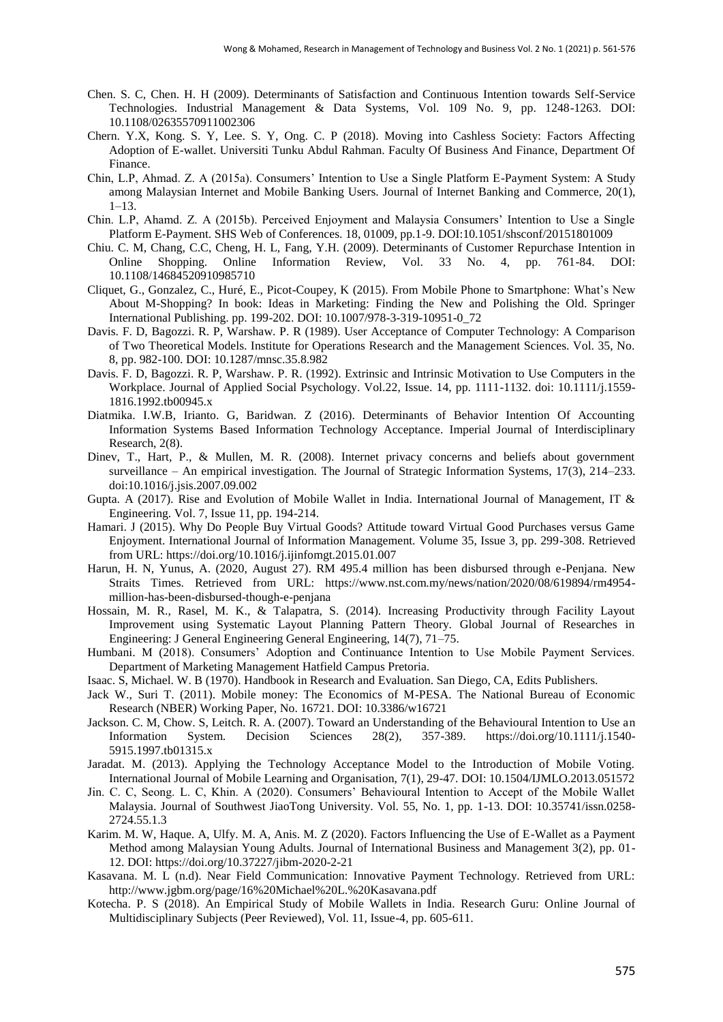- Chen. S. C, Chen. H. H (2009). Determinants of Satisfaction and Continuous Intention towards Self-Service Technologies. Industrial Management & Data Systems, Vol. 109 No. 9, pp. 1248-1263. DOI: 10.1108/02635570911002306
- Chern. Y.X, Kong. S. Y, Lee. S. Y, Ong. C. P (2018). Moving into Cashless Society: Factors Affecting Adoption of E-wallet. Universiti Tunku Abdul Rahman. Faculty Of Business And Finance, Department Of Finance.
- Chin, L.P, Ahmad. Z. A (2015a). Consumers" Intention to Use a Single Platform E-Payment System: A Study among Malaysian Internet and Mobile Banking Users. Journal of Internet Banking and Commerce, 20(1),  $1 - 13$
- Chin. L.P, Ahamd. Z. A (2015b). Perceived Enjoyment and Malaysia Consumers" Intention to Use a Single Platform E-Payment. SHS Web of Conferences. 18, 01009, pp.1-9. DOI:10.1051/shsconf/20151801009
- Chiu. C. M, Chang, C.C, Cheng, H. L, Fang, Y.H. (2009). Determinants of Customer Repurchase Intention in Online Shopping. Online Information Review, Vol. 33 No. 4, pp. 761-84. DOI: 10.1108/14684520910985710
- Cliquet, G., Gonzalez, C., Huré, E., Picot-Coupey, K (2015). From Mobile Phone to Smartphone: What"s New About M-Shopping? In book: Ideas in Marketing: Finding the New and Polishing the Old. Springer International Publishing. pp. 199-202. DOI: 10.1007/978-3-319-10951-0\_72
- Davis. F. D, Bagozzi. R. P, Warshaw. P. R (1989). User Acceptance of Computer Technology: A Comparison of Two Theoretical Models. Institute for Operations Research and the Management Sciences. Vol. 35, No. 8, pp. 982-100. DOI: 10.1287/mnsc.35.8.982
- Davis. F. D, Bagozzi. R. P, Warshaw. P. R. (1992). Extrinsic and Intrinsic Motivation to Use Computers in the Workplace. Journal of Applied Social Psychology. Vol.22, Issue. 14, pp. 1111-1132. doi: 10.1111/j.1559- 1816.1992.tb00945.x
- Diatmika. I.W.B, Irianto. G, Baridwan. Z (2016). Determinants of Behavior Intention Of Accounting Information Systems Based Information Technology Acceptance. Imperial Journal of Interdisciplinary Research, 2(8).
- Dinev, T., Hart, P., & Mullen, M. R. (2008). Internet privacy concerns and beliefs about government surveillance – An empirical investigation. The Journal of Strategic Information Systems, 17(3), 214–233. doi:10.1016/j.jsis.2007.09.002
- Gupta. A (2017). Rise and Evolution of Mobile Wallet in India. International Journal of Management, IT & Engineering. Vol. 7, Issue 11, pp. 194-214.
- Hamari. J (2015). Why Do People Buy Virtual Goods? Attitude toward Virtual Good Purchases versus Game Enjoyment. International Journal of Information Management. Volume 35, Issue 3, pp. 299-308. Retrieved from URL: https://doi.org/10.1016/j.ijinfomgt.2015.01.007
- Harun, H. N, Yunus, A. (2020, August 27). RM 495.4 million has been disbursed through e-Penjana. New Straits Times. Retrieved from URL: https://www.nst.com.my/news/nation/2020/08/619894/rm4954 million-has-been-disbursed-though-e-penjana
- Hossain, M. R., Rasel, M. K., & Talapatra, S. (2014). Increasing Productivity through Facility Layout Improvement using Systematic Layout Planning Pattern Theory. Global Journal of Researches in Engineering: J General Engineering General Engineering, 14(7), 71–75.
- Humbani. M (2018). Consumers" Adoption and Continuance Intention to Use Mobile Payment Services. Department of Marketing Management Hatfield Campus Pretoria.
- Isaac. S, Michael. W. B (1970). Handbook in Research and Evaluation. San Diego, CA, Edits Publishers.
- Jack W., Suri T. (2011). Mobile money: The Economics of M-PESA. The National Bureau of Economic Research (NBER) Working Paper, No. 16721. DOI: 10.3386/w16721
- Jackson. C. M, Chow. S, Leitch. R. A. (2007). Toward an Understanding of the Behavioural Intention to Use an Information System. Decision Sciences 28(2), 357-389. https://doi.org/10.1111/j.1540- 5915.1997.tb01315.x
- Jaradat. M. (2013). Applying the Technology Acceptance Model to the Introduction of Mobile Voting. International Journal of Mobile Learning and Organisation, 7(1), 29-47. DOI: 10.1504/IJMLO.2013.051572
- Jin. C. C, Seong. L. C, Khin. A (2020). Consumers" Behavioural Intention to Accept of the Mobile Wallet Malaysia. Journal of Southwest JiaoTong University. Vol. 55, No. 1, pp. 1-13. DOI: 10.35741/issn.0258- 2724.55.1.3
- Karim. M. W, Haque. A, Ulfy. M. A, Anis. M. Z (2020). Factors Influencing the Use of E-Wallet as a Payment Method among Malaysian Young Adults. Journal of International Business and Management 3(2), pp. 01- 12. DOI: https://doi.org/10.37227/jibm-2020-2-21
- Kasavana. M. L (n.d). Near Field Communication: Innovative Payment Technology. Retrieved from URL: http://www.jgbm.org/page/16%20Michael%20L.%20Kasavana.pdf
- Kotecha. P. S (2018). An Empirical Study of Mobile Wallets in India. Research Guru: Online Journal of Multidisciplinary Subjects (Peer Reviewed), Vol. 11, Issue-4, pp. 605-611.